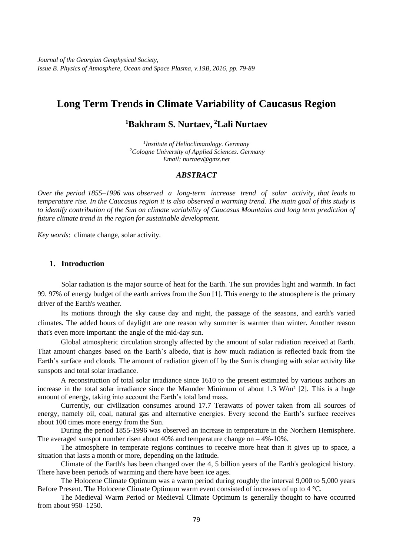*Journal of the Georgian Geophysical Society, Issue B. Physics of Atmosphere, Ocean and Space Plasma, v.19B, 2016, pp. 79-89*

## **Long Term Trends in Climate Variability of Caucasus Region**

## **<sup>1</sup>Bakhram S. Nurtaev, <sup>2</sup>Lali Nurtaev**

*1 Institute of Helioclimatology. Germany* <sup>2</sup>*Cologne University of Applied Sciences. Germany Email: nurtaev@gmx.net*

#### *ABSTRACT*

*Over the period 1855–1996 was observed a long-term increase trend of solar activity, that leads to temperature rise. In the Caucasus region it is also observed a warming trend. The main goal of this study is*  to identify contribution of the Sun on climate variability of Caucasus Mountains and long term prediction of *future climate trend in the region for sustainable development.*

*Key words*: climate change, solar activity.

### **1. Introduction**

Solar radiation is the major source of heat for the Earth. The sun provides light and warmth. In fact 99. 97% of energy budget of the earth arrives from the Sun [1]. This energy to the atmosphere is the primary driver of the Earth's weather.

Its motions through the sky cause day and night, the passage of the seasons, and earth's varied climates. The added hours of daylight are one reason why summer is warmer than winter. Another reason that's even more important: the angle of the mid-day sun.

Global atmospheric circulation strongly affected by the amount of solar radiation received at Earth. That amount changes based on the Earth's albedo, that is how much radiation is reflected back from the Earth's surface and clouds. The amount of radiation given off by the Sun is changing with [solar activity](http://www.windows2universe.org/sun/solar_activity.html) like [sunspots](http://www.windows2universe.org/sun/atmosphere/sunspots.html) and total solar irradiance.

A reconstruction of total solar irradiance since 1610 to the present estimated by various authors an increase in the total solar irradiance since the Maunder Minimum of about 1.3 W/m<sup>2</sup> [2]. This is a huge amount of energy, taking into account the Earth's total land mass.

Currently, our civilization consumes around 17.7 Terawatts of power taken from all sources of energy*,* namely oil*,* coal*,* natural gas and alternative energies. Every second the Earth's surface receives about 100 times more energy from the Sun.

During the period 1855-1996 was observed an increase in temperature in the Northern Hemisphere. The averaged sunspot number risen about  $40\%$  and temperature change on  $-4\%$ -10%.

The atmosphere in temperate regions continues to receive more heat than it gives up to space, a situation that lasts a month or more, depending on the latitude.

Climate of the Earth's has been changed over the 4, 5 billion years of the Earth's geological history. There have been periods of warming and there have been ice ages.

The Holocene Climate Optimum was a [warm period](https://en.wikipedia.org/wiki/Warm_period) during roughly the interval 9,000 to 5,000 years [Before Pr](https://en.wikipedia.org/wiki/Before_Present)esent. The [Holocene](https://en.wikipedia.org/wiki/Holocene) Climate Optimum warm event consisted of increases of up to 4 °C.

The Medieval Warm Period or Medieval Climate Optimum is generally thought to have occurred from about 950–1250.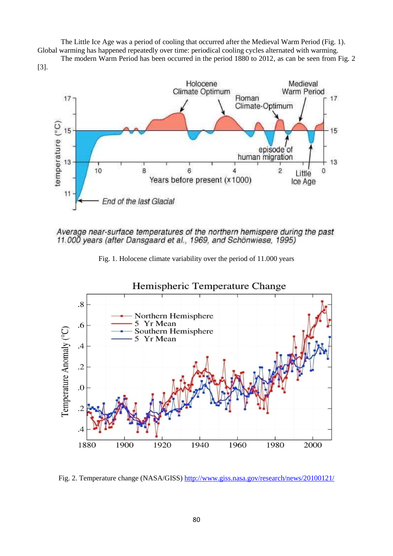The Little Ice Age was a period of cooling that occurred after the [Medieval Warm Period](https://en.wikipedia.org/wiki/Medieval_Warm_Period) (Fig. 1). Global warming has happened repeatedly over time: periodical cooling cycles alternated with warming.

The modern Warm Period has been occurred in the period 1880 to 2012, as can be seen from Fig. 2 [3].









Fig. 2. Temperature change (NASA/GISS)<http://www.giss.nasa.gov/research/news/20100121/>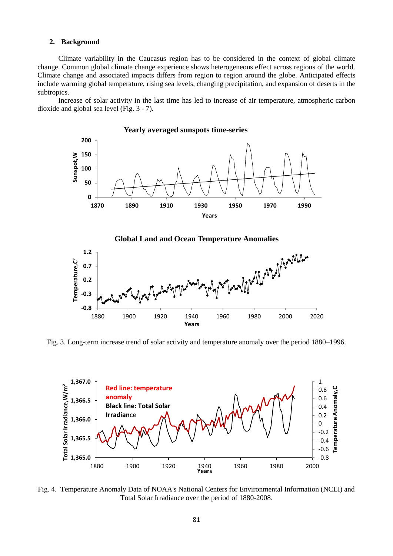#### **2. Background**

Climate variability in the Caucasus region has to be considered in the context of global climate change. Common global climate change experience shows heterogeneous effect across regions of the world. Climate change and associated impacts differs from [region to region](https://en.wikipedia.org/wiki/Regional_effects_of_global_warming) around the globe. Anticipated [effects](https://en.wikipedia.org/wiki/Effects_of_global_warming) include warming global temperature, [rising sea levels,](https://en.wikipedia.org/wiki/Current_sea_level_rise) changing [precipitation,](https://en.wikipedia.org/wiki/Precipitation_%28meteorology%29) and expansion of [deserts](https://en.wikipedia.org/wiki/Desert) in the [subtropics.](https://en.wikipedia.org/wiki/Subtropics)

Increase of solar activity in the last time has led to increase of air temperature, atmospheric carbon dioxide and global sea level (Fig. 3 - 7).



#### **Global Land and Ocean Temperature Anomalies**



Fig. 3. Long-term increase trend of solar activity and temperature anomaly over the period 1880–1996.



Fig. 4. Temperature Anomaly Data of NOAA's National Centers for Environmental Information (NCEI) and Total Solar Irradiance over the period of 1880-2008.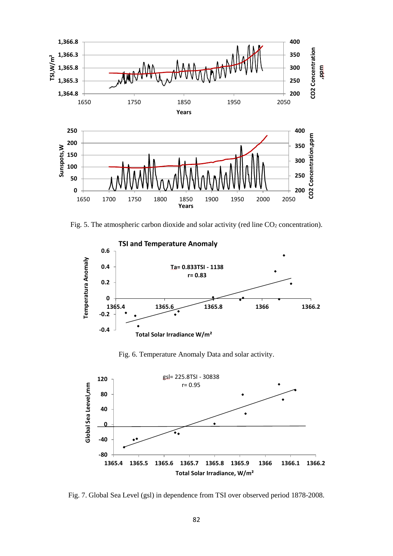

Fig. 5. The atmospheric carbon dioxide and solar activity (red line  $CO<sub>2</sub>$  concentration).



Fig. 6. Temperature Anomaly Data and solar activity.



Fig. 7. Global Sea Level (gsl) in dependence from TSI over observed period 1878-2008.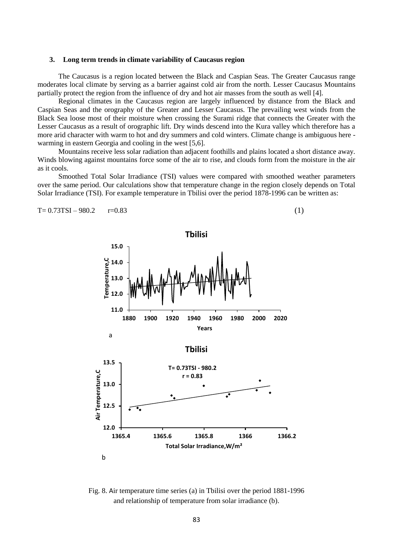#### **3. Long term trends in climate variability of Caucasus region**

The Caucasus is a region located between the Black and Caspian Seas. The Greater Caucasus range moderates local climate by serving as a barrier against cold air from the north. Lesser Caucasus Mountains partially protect the region from the influence of dry and hot air masses from the south as well [4].

Regional climates in the Caucasus region are largely influenced by distance from the Black and Caspian Seas and the orography of the Greater and Lesser Caucasus. The prevailing west winds from the Black Sea loose most of their moisture when crossing the Surami ridge that connects the Greater with the Lesser Caucasus as a result of orographic lift. Dry winds descend into the Kura valley which therefore has a more arid character with warm to hot and dry summers and cold winters. Climate change is ambiguous here warming in eastern Georgia and cooling in the west [5,6].

Mountains receive less solar radiation than adjacent foothills and plains located a short distance away. Winds blowing against mountains force some of the air to rise, and clouds form from the moisture in the air as it cools.

Smoothed Total Solar Irradiance (TSI) values were compared with smoothed weather parameters over the same period. Our calculations show that temperature change in the region closely depends on Total Solar Irradiance (TSI). For example temperature in Tbilisi over the period 1878-1996 can be written as:

$$
T = 0.73TSI - 980.2 \t r = 0.83 \t (1)
$$



Fig. 8. Air temperature time series (a) in Tbilisi over the period 1881-1996 and relationship of temperature from solar irradiance (b).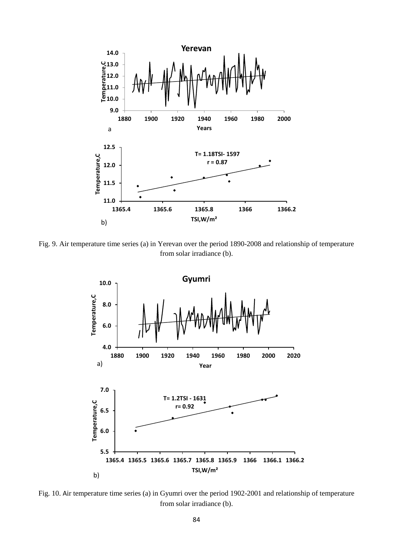

Fig. 9. Air temperature time series (a) in Yerevan over the period 1890-2008 and relationship of temperature from solar irradiance (b).



Fig. 10. Air temperature time series (a) in Gyumri over the period 1902-2001 and relationship of temperature from solar irradiance (b).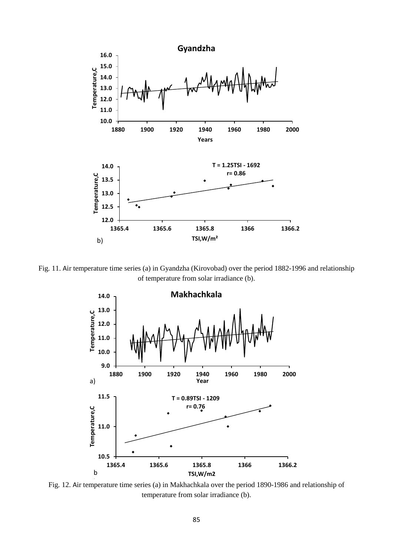

Fig. 11. Air temperature time series (a) in Gyandzha (Kirovobad) over the period 1882-1996 and relationship of temperature from solar irradiance (b).



Fig. 12. Air temperature time series (a) in Makhachkala over the period 1890-1986 and relationship of temperature from solar irradiance (b).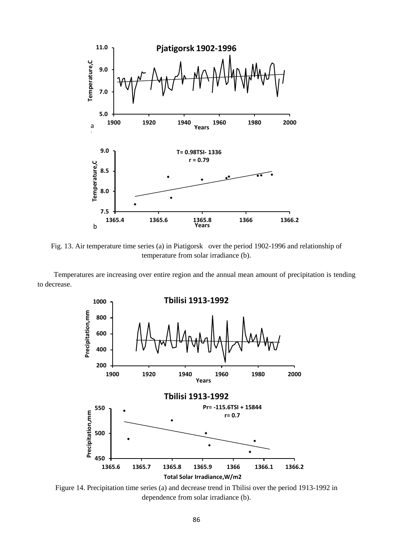

Fig. 13. Air temperature time series (a) in Piatigorsk over the period 1902-1996 and relationship of temperature from solar irradiance (b).

Temperatures are increasing over entire region and the annual mean amount of precipitation is tending to decrease.



Figure 14. Precipitation time series (a) and decrease trend in Tbilisi over the period 1913-1992 in dependence from solar irradiance (b).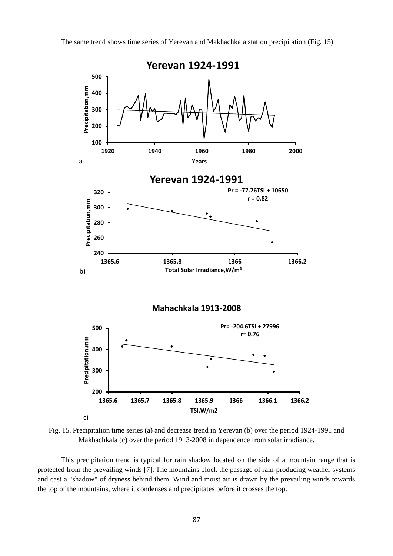The same trend shows time series of Yerevan and Makhachkala station precipitation (Fig. 15).



Fig. 15. Precipitation time series (a) and decrease trend in Yerevan (b) over the period 1924-1991 and Makhachkala (c) over the period 1913-2008 in dependence from solar irradiance.

This precipitation trend is typical for rain shadow located on the side of a mountain range that is protected from the prevailing winds [7]. The mountains block the passage of rain-producing weather systems and cast a "shadow" of dryness behind them. Wind and moist air is drawn by the prevailing winds towards the top of the mountains, where it condenses and precipitates before it crosses the top.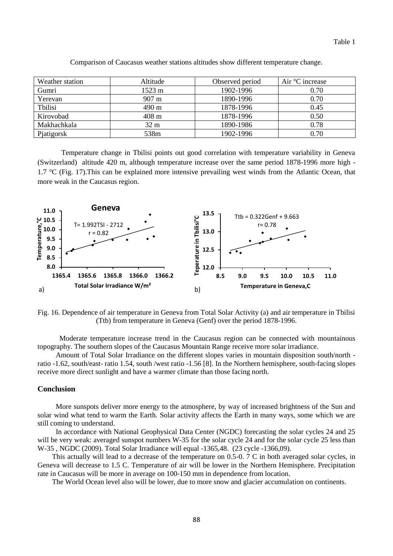Table 1

| Weather station | Altitude        | Observed period | Air $\mathrm{^{\circ}C}$ increase |
|-----------------|-----------------|-----------------|-----------------------------------|
| Gumri           | 1523 m          | 1902-1996       | 0.70                              |
| Yerevan         | $907 \text{ m}$ | 1890-1996       | 0.70                              |
| Tbilisi         | 490 m           | 1878-1996       | 0.45                              |
| Kirovobad       | $408 \text{ m}$ | 1878-1996       | 0.50                              |
| Makhachkala     | 32 m            | 1890-1986       | 0.78                              |
| Pjatigorsk      | 538m            | 1902-1996       | 0.70                              |

Comparison of Caucasus weather stations altitudes show different temperature change.

Temperature change in Tbilisi points out good correlation with temperature variability in Geneva (Switzerland) altitude 420 m, although temperature increase over the same period 1878-1996 more high - 1.7 °C (Fig. 17).This can be explained more intensive prevailing west winds from the Atlantic Ocean, that more weak in the Caucasus region.



Fig. 16. Dependence of air temperature in Geneva from Total Solar Activity (a) and air temperature in Tbilisi (Ttb) from temperature in Geneva (Genf) over the period 1878-1996.

Moderate temperature increase trend in the Caucasus region can be connected with mountainous topography. The southern slopes of the Caucasus Mountain Range receive more solar irradiance.

Amount of Total Solar Irradiance on the different slopes varies in mountain disposition south/north ratio -1.62, south/east- ratio 1.54, south /west ratio -1.56 [8]. In the Northern hemisphere, south-facing slopes receive more direct sunlight and have a warmer climate than those facing north.

#### **Conclusion**

More sunspots deliver more energy to the atmosphere, by way of increased brightness of the Sun and solar wind what tend to warm the Earth. Solar activity affects the Earth in many ways, some which we are still coming to understand.

In accordance with National Geophysical Data Center (NGDC) forecasting the solar cycles 24 and 25 will be very weak: averaged sunspot numbers W-35 for the solar cycle 24 and for the solar cycle 25 less than W-35 , NGDC (2009). Total Solar Irradiance will equal -1365,48. (23 cycle -1366,09).

This actually will lead to a decrease of the temperature on 0.5-0. 7 C in both averaged solar cycles, in Geneva will decrease to 1.5 C. Temperature of air will be lower in the Northern Hemisphere. Precipitation rate in Caucasus will be more in average on 100-150 mm in dependence from location.

The World Ocean level also will be lower, due to more snow and glacier accumulation on continents.